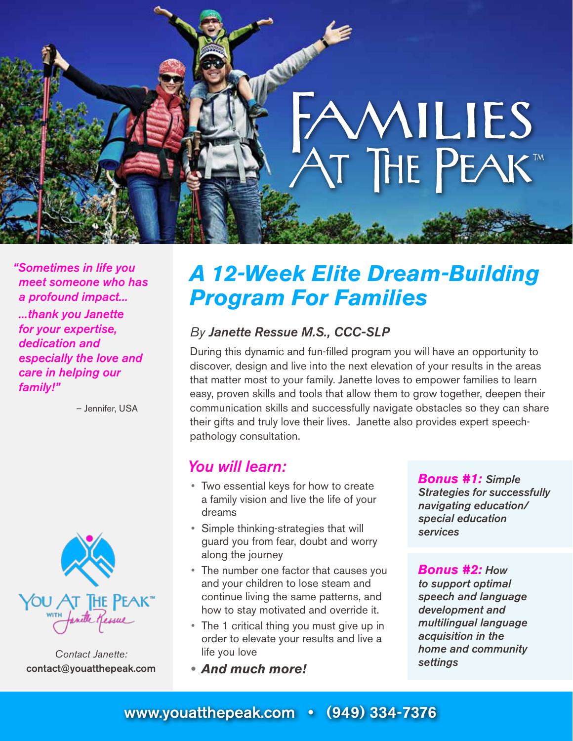

*"Sometimes in life you meet someone who has a profound impact... ...thank you Janette for your expertise, dedication and especially the love and care in helping our family!"*

– Jennifer, USA



*Contact Janette:* contact@youatthepeak.com

## *A 12-Week Elite Dream-Building Program For Families*

#### *By Janette Ressue M.S., CCC-SLP*

During this dynamic and fun-filled program you will have an opportunity to discover, design and live into the next elevation of your results in the areas that matter most to your family. Janette loves to empower families to learn easy, proven skills and tools that allow them to grow together, deepen their communication skills and successfully navigate obstacles so they can share their gifts and truly love their lives. Janette also provides expert speechpathology consultation.

### *You will learn:*

- Two essential keys for how to create a family vision and live the life of your dreams
- Simple thinking-strategies that will guard you from fear, doubt and worry along the journey
- The number one factor that causes you and your children to lose steam and continue living the same patterns, and how to stay motivated and override it.
- The 1 critical thing you must give up in order to elevate your results and live a life you love
- *• And much more!*

*Bonus #1: Simple Strategies for successfully navigating education/ special education services*

*Bonus #2: How to support optimal speech and language development and multilingual language acquisition in the home and community settings*